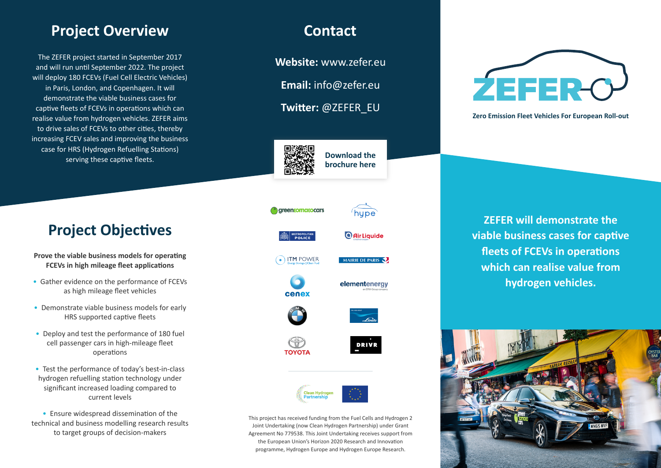# **Project Overview <b>Contact**

The ZEFER project started in September 2017 and will run until September 2022. The project will deploy 180 FCEVs (Fuel Cell Electric Vehicles) in Paris, London, and Copenhagen. It will demonstrate the viable business cases for captive fleets of FCEVs in operations which can realise value from hydrogen vehicles. ZEFER aims to drive sales of FCEVs to other cities, thereby increasing FCEV sales and improving the business case for HRS (Hydrogen Refuelling Stations) serving these captive fleets.

# **Project Objectives**

- **Prove the viable business models for operating FCEVs in high mileage fleet applications**
- Gather evidence on the performance of FCEVs as high mileage fleet vehicles
- Demonstrate viable business models for early HRS supported captive fleets
- Deploy and test the performance of 180 fuel cell passenger cars in high-mileage fleet operations
- Test the performance of today's best-in-class hydrogen refuelling station technology under significant increased loading compared to current levels
- Ensure widespread dissemination of the technical and business modelling research results to target groups of decision-makers

**Website:** www.zefer.eu

**Email:** info@zefer.eu

**Twitter:** @ZEFER\_EU



**Download the brochure here**



hupe



 $\bigcirc$  Air Liquide

 $\odot$  in TM POWER MAIRIE DE PARIS









ΤΟΥΟΤΑ

**DRIVR** 



This project has received funding from the Fuel Cells and Hydrogen 2 Joint Undertaking (now Clean Hydrogen Partnership) under Grant Agreement No 779538. This Joint Undertaking receives support from the European Union's Horizon 2020 Research and Innovation programme, Hydrogen Europe and Hydrogen Europe Research.



**Zero Emission Fleet Vehicles For European Roll-out**

**ZEFER will demonstrate the viable business cases for captive fleets of FCEVs in operations which can realise value from hydrogen vehicles.**